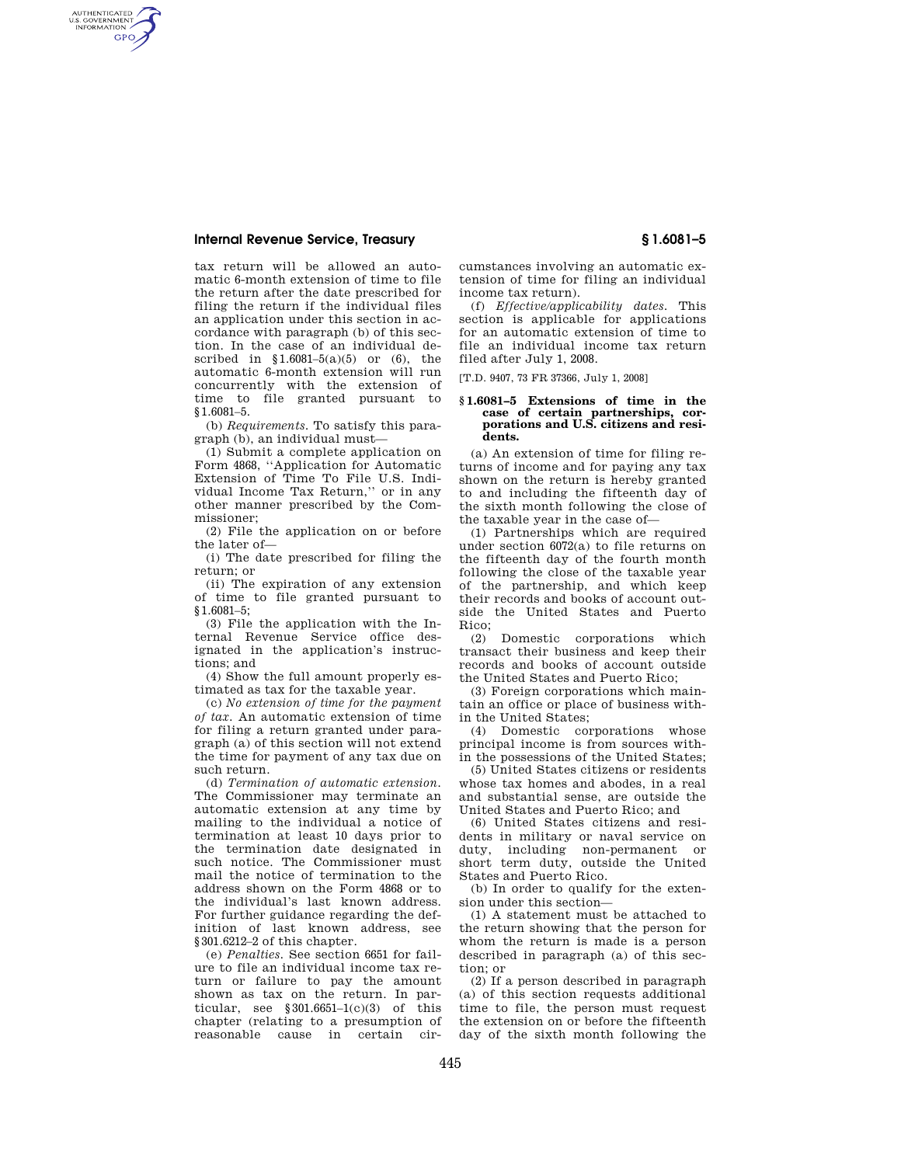## **Internal Revenue Service, Treasury § 1.6081–5**

AUTHENTICATED<br>U.S. GOVERNMENT<br>INFORMATION **GPO** 

> tax return will be allowed an automatic 6-month extension of time to file the return after the date prescribed for filing the return if the individual files an application under this section in accordance with paragraph (b) of this section. In the case of an individual described in  $$1.6081-5(a)(5)$  or (6), the automatic 6-month extension will run concurrently with the extension of time to file granted pursuant to §1.6081–5.

(b) *Requirements.* To satisfy this paragraph (b), an individual must—

(1) Submit a complete application on Form 4868, ''Application for Automatic Extension of Time To File U.S. Individual Income Tax Return,'' or in any other manner prescribed by the Commissioner;

(2) File the application on or before the later of—

(i) The date prescribed for filing the return; or

(ii) The expiration of any extension of time to file granted pursuant to §1.6081–5;

(3) File the application with the Internal Revenue Service office designated in the application's instructions; and

(4) Show the full amount properly estimated as tax for the taxable year.

(c) *No extension of time for the payment of tax.* An automatic extension of time for filing a return granted under paragraph (a) of this section will not extend the time for payment of any tax due on such return.

(d) *Termination of automatic extension.*  The Commissioner may terminate an automatic extension at any time by mailing to the individual a notice of termination at least 10 days prior to the termination date designated in such notice. The Commissioner must mail the notice of termination to the address shown on the Form 4868 or to the individual's last known address. For further guidance regarding the definition of last known address, see §301.6212–2 of this chapter.

(e) *Penalties.* See section 6651 for failure to file an individual income tax return or failure to pay the amount shown as tax on the return. In particular, see  $$301.6651-1(c)(3)$  of this chapter (relating to a presumption of reasonable cause in certain cir-

cumstances involving an automatic extension of time for filing an individual income tax return).

(f) *Effective/applicability dates.* This section is applicable for applications for an automatic extension of time to file an individual income tax return filed after July 1, 2008.

[T.D. 9407, 73 FR 37366, July 1, 2008]

## **§ 1.6081–5 Extensions of time in the case of certain partnerships, corporations and U.S. citizens and residents.**

(a) An extension of time for filing returns of income and for paying any tax shown on the return is hereby granted to and including the fifteenth day of the sixth month following the close of the taxable year in the case of—

(1) Partnerships which are required under section 6072(a) to file returns on the fifteenth day of the fourth month following the close of the taxable year of the partnership, and which keep their records and books of account outside the United States and Puerto Rico;

(2) Domestic corporations which transact their business and keep their records and books of account outside the United States and Puerto Rico;

(3) Foreign corporations which maintain an office or place of business within the United States;

(4) Domestic corporations whose principal income is from sources within the possessions of the United States;

(5) United States citizens or residents whose tax homes and abodes, in a real and substantial sense, are outside the United States and Puerto Rico; and

(6) United States citizens and residents in military or naval service on duty, including non-permanent or short term duty, outside the United States and Puerto Rico.

(b) In order to qualify for the extension under this section—

(1) A statement must be attached to the return showing that the person for whom the return is made is a person described in paragraph (a) of this section; or

(2) If a person described in paragraph (a) of this section requests additional time to file, the person must request the extension on or before the fifteenth day of the sixth month following the